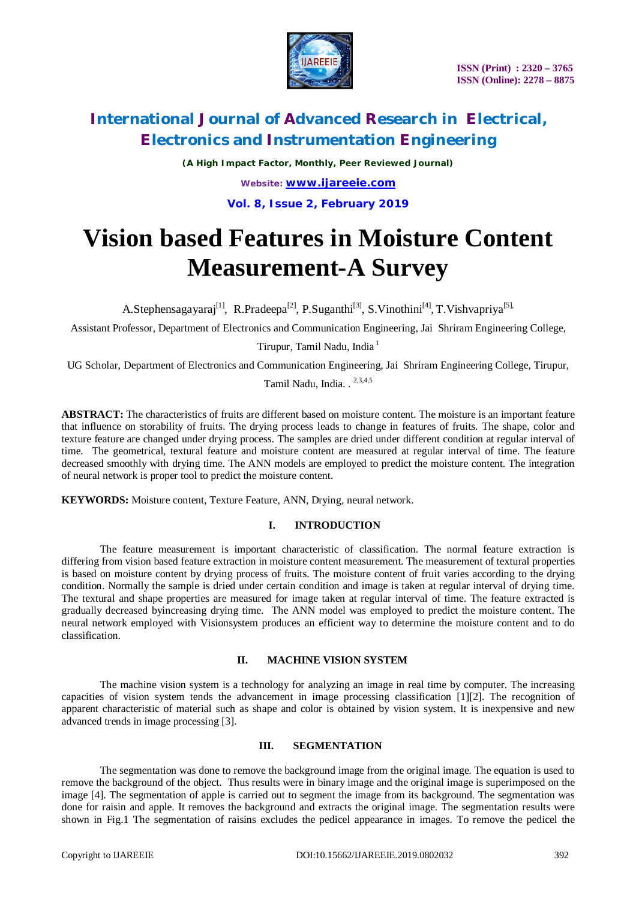

*(A High Impact Factor, Monthly, Peer Reviewed Journal)*

*Website: [www.ijareeie.com](http://www.ijareeie.com)* **Vol. 8, Issue 2, February 2019**

# **Vision based Features in Moisture Content Measurement-A Survey**

A.Stephensagayaraj<sup>[1]</sup>, R.Pradeepa<sup>[2]</sup>, P.Suganthi<sup>[3]</sup>, S.Vinothini<sup>[4]</sup>, T.Vishvapriya<sup>[5],</sup>

Assistant Professor, Department of Electronics and Communication Engineering, Jai Shriram Engineering College,

Tirupur, Tamil Nadu, India <sup>1</sup>

UG Scholar, Department of Electronics and Communication Engineering, Jai Shriram Engineering College, Tirupur,

Tamil Nadu, India. . <sup>2,3,4,5</sup>

**ABSTRACT:** The characteristics of fruits are different based on moisture content. The moisture is an important feature that influence on storability of fruits. The drying process leads to change in features of fruits. The shape, color and texture feature are changed under drying process. The samples are dried under different condition at regular interval of time. The geometrical, textural feature and moisture content are measured at regular interval of time. The feature decreased smoothly with drying time. The ANN models are employed to predict the moisture content. The integration of neural network is proper tool to predict the moisture content.

**KEYWORDS:** Moisture content, Texture Feature, ANN, Drying, neural network.

### **I. INTRODUCTION**

The feature measurement is important characteristic of classification. The normal feature extraction is differing from vision based feature extraction in moisture content measurement. The measurement of textural properties is based on moisture content by drying process of fruits. The moisture content of fruit varies according to the drying condition. Normally the sample is dried under certain condition and image is taken at regular interval of drying time. The textural and shape properties are measured for image taken at regular interval of time. The feature extracted is gradually decreased byincreasing drying time. The ANN model was employed to predict the moisture content. The neural network employed with Visionsystem produces an efficient way to determine the moisture content and to do classification.

### **II. MACHINE VISION SYSTEM**

The machine vision system is a technology for analyzing an image in real time by computer. The increasing capacities of vision system tends the advancement in image processing classification [1][2]. The recognition of apparent characteristic of material such as shape and color is obtained by vision system. It is inexpensive and new advanced trends in image processing [3].

### **III. SEGMENTATION**

The segmentation was done to remove the background image from the original image. The equation is used to remove the background of the object. Thus results were in binary image and the original image is superimposed on the image [4]. The segmentation of apple is carried out to segment the image from its background. The segmentation was done for raisin and apple. It removes the background and extracts the original image. The segmentation results were shown in Fig.1 The segmentation of raisins excludes the pedicel appearance in images. To remove the pedicel the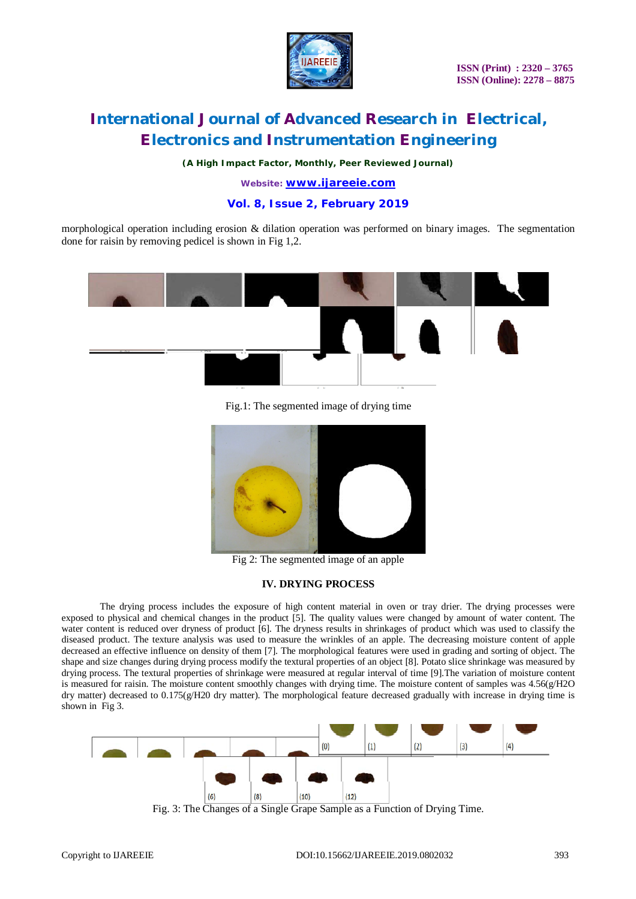

*(A High Impact Factor, Monthly, Peer Reviewed Journal)*

*Website: [www.ijareeie.com](http://www.ijareeie.com)*

**Vol. 8, Issue 2, February 2019**

morphological operation including erosion & dilation operation was performed on binary images. The segmentation done for raisin by removing pedicel is shown in Fig 1,2.



Fig.1: The segmented image of drying time



Fig 2: The segmented image of an apple

#### **IV. DRYING PROCESS**

The drying process includes the exposure of high content material in oven or tray drier. The drying processes were exposed to physical and chemical changes in the product [5]. The quality values were changed by amount of water content. The water content is reduced over dryness of product [6]. The dryness results in shrinkages of product which was used to classify the diseased product. The texture analysis was used to measure the wrinkles of an apple. The decreasing moisture content of apple decreased an effective influence on density of them [7]. The morphological features were used in grading and sorting of object. The shape and size changes during drying process modify the textural properties of an object [8]. Potato slice shrinkage was measured by drying process. The textural properties of shrinkage were measured at regular interval of time [9].The variation of moisture content is measured for raisin. The moisture content smoothly changes with drying time. The moisture content of samples was  $4.56(g/H2O)$ dry matter) decreased to 0.175(g/H20 dry matter). The morphological feature decreased gradually with increase in drying time is shown in Fig 3.



Fig. 3: The Changes of a Single Grape Sample as a Function of Drying Time.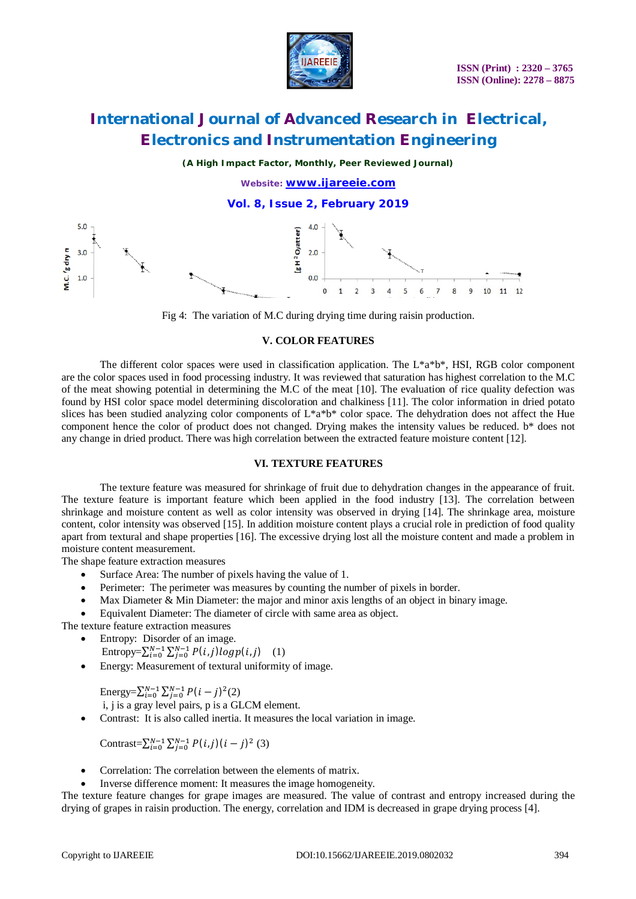

*(A High Impact Factor, Monthly, Peer Reviewed Journal)*

*Website: [www.ijareeie.com](http://www.ijareeie.com)* **Vol. 8, Issue 2, February 2019**  $5.0$ g H<sup>2</sup> O<sub>latter</sub>  $3.0$  $2.0$ M.C. 'g dry n  $0<sub>0</sub>$  $1.0$  $\Omega$  $\mathbf{1}$  $11$ 

Fig 4: The variation of M.C during drying time during raisin production.

#### **V. COLOR FEATURES**

The different color spaces were used in classification application. The  $L^*a^*b^*$ , HSI, RGB color component are the color spaces used in food processing industry. It was reviewed that saturation has highest correlation to the M.C of the meat showing potential in determining the M.C of the meat [10]. The evaluation of rice quality defection was found by HSI color space model determining discoloration and chalkiness [11]. The color information in dried potato slices has been studied analyzing color components of L\*a\*b\* color space. The dehydration does not affect the Hue component hence the color of product does not changed. Drying makes the intensity values be reduced. b\* does not any change in dried product. There was high correlation between the extracted feature moisture content [12].

### **VI. TEXTURE FEATURES**

The texture feature was measured for shrinkage of fruit due to dehydration changes in the appearance of fruit. The texture feature is important feature which been applied in the food industry [13]. The correlation between shrinkage and moisture content as well as color intensity was observed in drying [14]. The shrinkage area, moisture content, color intensity was observed [15]. In addition moisture content plays a crucial role in prediction of food quality apart from textural and shape properties [16]. The excessive drying lost all the moisture content and made a problem in moisture content measurement.

The shape feature extraction measures

- Surface Area: The number of pixels having the value of 1.
- Perimeter: The perimeter was measures by counting the number of pixels in border.
- Max Diameter & Min Diameter: the major and minor axis lengths of an object in binary image.
- Equivalent Diameter: The diameter of circle with same area as object.

The texture feature extraction measures

- Entropy: Disorder of an image.
- Entropy= $\sum_{i=0}^{N-1} \sum_{j=0}^{N-1} P(i,j) log p(i,j)$  (1)
	- Energy: Measurement of textural uniformity of image.

Energy= $\sum_{i=0}^{N-1} \sum_{j=0}^{N-1} P(i-j)^2(2)$ i, j is a gray level pairs, p is a GLCM element.

Contrast: It is also called inertia. It measures the local variation in image.

Contrast= $\sum_{i=0}^{N-1} \sum_{j=0}^{N-1} P(i,j) (i-j)^2$  (3)

- Correlation: The correlation between the elements of matrix.
- Inverse difference moment: It measures the image homogeneity.

The texture feature changes for grape images are measured. The value of contrast and entropy increased during the drying of grapes in raisin production. The energy, correlation and IDM is decreased in grape drying process [4].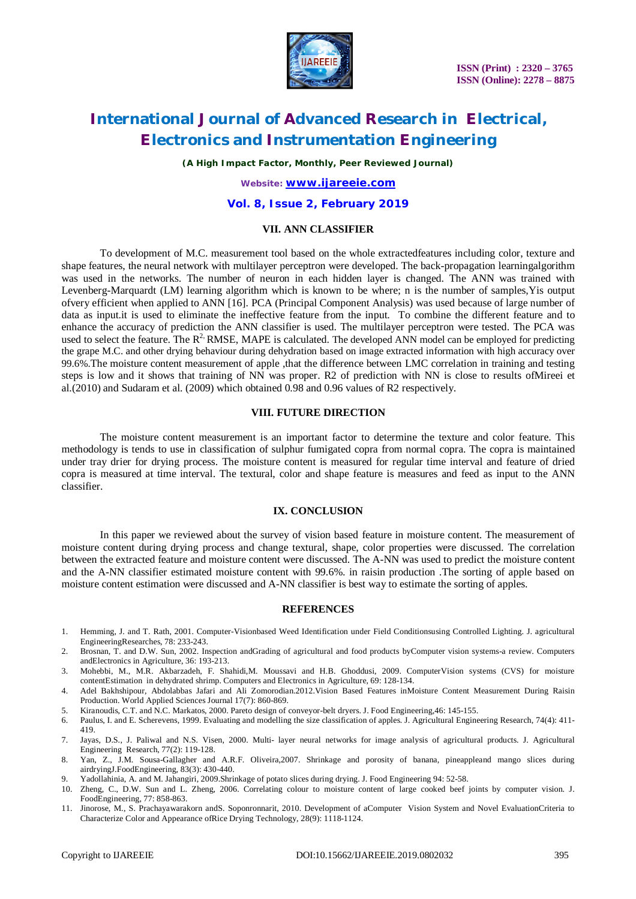

*(A High Impact Factor, Monthly, Peer Reviewed Journal)*

*Website: [www.ijareeie.com](http://www.ijareeie.com)*

### **Vol. 8, Issue 2, February 2019**

#### **VII. ANN CLASSIFIER**

To development of M.C. measurement tool based on the whole extractedfeatures including color, texture and shape features, the neural network with multilayer perceptron were developed. The back-propagation learningalgorithm was used in the networks. The number of neuron in each hidden layer is changed. The ANN was trained with Levenberg-Marquardt (LM) learning algorithm which is known to be where; n is the number of samples,Yis output ofvery efficient when applied to ANN [16]. PCA (Principal Component Analysis) was used because of large number of data as input.it is used to eliminate the ineffective feature from the input. To combine the different feature and to enhance the accuracy of prediction the ANN classifier is used. The multilayer perceptron were tested. The PCA was used to select the feature. The  $R^2$  RMSE, MAPE is calculated. The developed ANN model can be employed for predicting the grape M.C. and other drying behaviour during dehydration based on image extracted information with high accuracy over 99.6%.The moisture content measurement of apple ,that the difference between LMC correlation in training and testing steps is low and it shows that training of NN was proper. R2 of prediction with NN is close to results ofMireei et al.(2010) and Sudaram et al. (2009) which obtained 0.98 and 0.96 values of R2 respectively.

#### **VIII. FUTURE DIRECTION**

The moisture content measurement is an important factor to determine the texture and color feature. This methodology is tends to use in classification of sulphur fumigated copra from normal copra. The copra is maintained under tray drier for drying process. The moisture content is measured for regular time interval and feature of dried copra is measured at time interval. The textural, color and shape feature is measures and feed as input to the ANN classifier.

#### **IX. CONCLUSION**

In this paper we reviewed about the survey of vision based feature in moisture content. The measurement of moisture content during drying process and change textural, shape, color properties were discussed. The correlation between the extracted feature and moisture content were discussed. The A-NN was used to predict the moisture content and the A-NN classifier estimated moisture content with 99.6%. in raisin production .The sorting of apple based on moisture content estimation were discussed and A-NN classifier is best way to estimate the sorting of apples.

#### **REFERENCES**

- 1. Hemming, J. and T. Rath, 2001. Computer-Visionbased Weed Identification under Field Conditionsusing Controlled Lighting. J. agricultural EngineeringResearches, 78: 233-243.
- 2. Brosnan, T. and D.W. Sun, 2002. Inspection andGrading of agricultural and food products byComputer vision systems-a review. Computers andElectronics in Agriculture, 36: 193-213.
- 3. Mohebbi, M., M.R. Akbarzadeh, F. Shahidi,M. Moussavi and H.B. Ghoddusi, 2009. ComputerVision systems (CVS) for moisture contentEstimation in dehydrated shrimp. Computers and Electronics in Agriculture, 69: 128-134.
- 4. Adel Bakhshipour, Abdolabbas Jafari and Ali Zomorodian.2012.Vision Based Features inMoisture Content Measurement During Raisin Production. World Applied Sciences Journal 17(7): 860-869.
- 5. Kiranoudis, C.T. and N.C. Markatos, 2000. Pareto design of conveyor-belt dryers. J. Food Engineering,46: 145-155.
- 6. Paulus, I. and E. Scherevens, 1999. Evaluating and modelling the size classification of apples. J. Agricultural Engineering Research, 74(4): 411- 419.
- 7. Jayas, D.S., J. Paliwal and N.S. Visen, 2000. Multi- layer neural networks for image analysis of agricultural products. J. Agricultural Engineering Research, 77(2): 119-128.
- 8. Yan, Z., J.M. Sousa-Gallagher and A.R.F. Oliveira,2007. Shrinkage and porosity of banana, pineappleand mango slices during airdryingJ.FoodEngineering, 83(3): 430-440.
- 9. Yadollahinia, A. and M. Jahangiri, 2009.Shrinkage of potato slices during drying. J. Food Engineering 94: 52-58.
- 10. Zheng, C., D.W. Sun and L. Zheng, 2006. Correlating colour to moisture content of large cooked beef joints by computer vision. J. FoodEngineering, 77: 858-863.
- 11. Jinorose, M., S. Prachayawarakorn andS. Soponronnarit, 2010. Development of aComputer Vision System and Novel EvaluationCriteria to Characterize Color and Appearance ofRice Drying Technology, 28(9): 1118-1124.